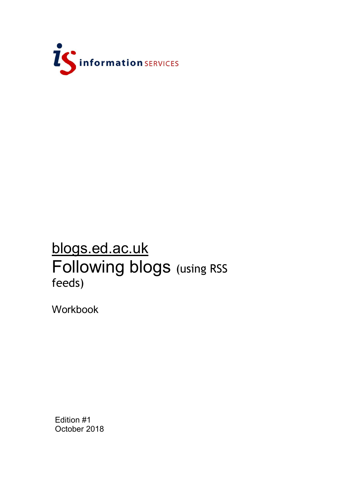

## blogs.ed.ac.uk Following blogs (using RSS feeds)

Workbook

Edition #1 October 2018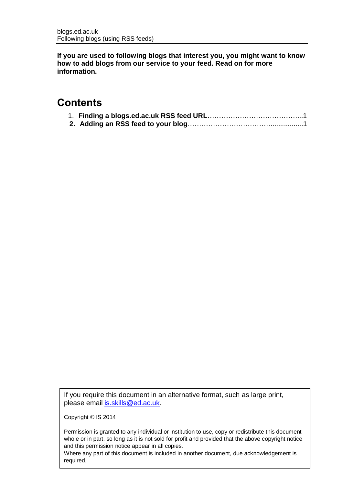**If you are used to following blogs that interest you, you might want to know how to add blogs from our service to your feed. Read on for more information.**

## **Contents**

|  | __________ |  |  |
|--|------------|--|--|

|--|--|--|--|--|

If you require this document in an alternative format, such as large print, please email [is.skills@ed.ac.uk.](mailto:is.skills@ed.ac.uk)

Copyright © IS 2014

Permission is granted to any individual or institution to use, copy or redistribute this document whole or in part, so long as it is not sold for profit and provided that the above copyright notice and this permission notice appear in all copies.

Where any part of this document is included in another document, due acknowledgement is required.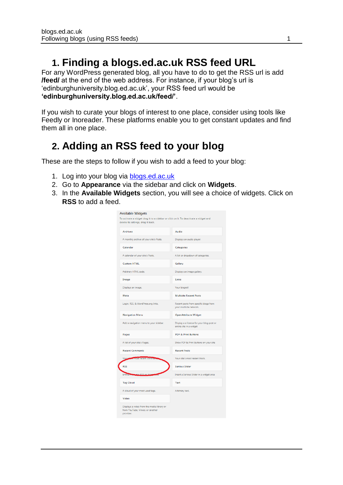## **1. Finding a blogs.ed.ac.uk RSS feed URL**

For any WordPress generated blog, all you have to do to get the RSS url is add **/feed/** at the end of the web address. For instance, if your blog's url is 'edinburghuniversity.blog.ed.ac.uk', your RSS feed url would be **'edinburghuniversity.blog.ed.ac.uk/feed/'**.

If you wish to curate your blogs of interest to one place, consider using tools like Feedly or Inoreader. These platforms enable you to get constant updates and find them all in one place.

## **2. Adding an RSS feed to your blog**

These are the steps to follow if you wish to add a feed to your blog:

- 1. Log into your blog via **blogs.ed.ac.uk**
- 2. Go to **Appearance** via the sidebar and click on **Widgets**.
- 3. In the **Available Widgets** section, you will see a choice of widgets. Click on **RSS** to add a feed.

| <b>Available Widgets</b><br>To activate a widget drag it to a sidebar or click on it. To deactivate a widget and<br>delete its settings, drag it back. |                                                                      |  |
|--------------------------------------------------------------------------------------------------------------------------------------------------------|----------------------------------------------------------------------|--|
| <b>Archives</b>                                                                                                                                        | Audio                                                                |  |
| A monthly archive of your site's Posts.                                                                                                                | Displays an audio player.                                            |  |
| Calendar                                                                                                                                               | Categories                                                           |  |
| A calendar of your site's Posts.                                                                                                                       | A list or dropdown of categories.                                    |  |
| <b>Custom HTML</b>                                                                                                                                     | Gallery                                                              |  |
| Arbitrary HTML code.                                                                                                                                   | Displays an image gallery.                                           |  |
| Image                                                                                                                                                  | Links                                                                |  |
| Displays an image.                                                                                                                                     | Your blogroll                                                        |  |
| Meta                                                                                                                                                   | <b>Multisite Recent Posts</b>                                        |  |
| Login, RSS, & WordPress.org links.                                                                                                                     | Recent posts from specific blogs from<br>your multisite network.     |  |
| <b>Navigation Menu</b>                                                                                                                                 | <b>OpenAttribute Widget</b>                                          |  |
| Add a navigation menu to your sidebar.                                                                                                                 | Display a a license for your blog post or<br>entire site in a widget |  |
| Pages                                                                                                                                                  | <b>PDF &amp; Print Buttons</b>                                       |  |
| A list of your site's Pages.                                                                                                                           | Show PDF & Print Buttons on your site<br><b>Recent Posts</b>         |  |
| <b>Recent Comments</b>                                                                                                                                 |                                                                      |  |
| Your<br><b>Common Tecent Common</b>                                                                                                                    | Your site's most recent Posts.                                       |  |
| <b>RSS</b>                                                                                                                                             | <b>Serious Slider</b>                                                |  |
| au RSS a<br>Entries                                                                                                                                    | Insert a Serious Slider in a widget area                             |  |
| <b>Tag Cloud</b>                                                                                                                                       | Text                                                                 |  |
| A cloud of your most used tags.                                                                                                                        | Arbitrary text.                                                      |  |
| Video                                                                                                                                                  |                                                                      |  |
| Displays a video from the media library or<br>from YouTube, Vimeo, or another<br>provider.                                                             |                                                                      |  |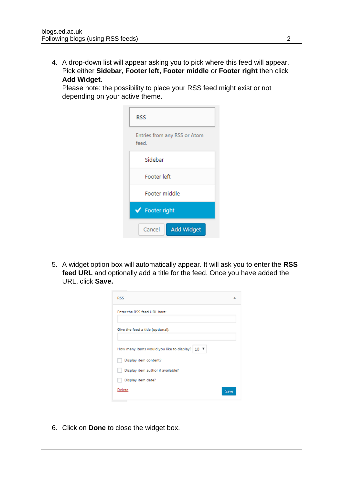4. A drop-down list will appear asking you to pick where this feed will appear. Pick either **Sidebar, Footer left, Footer middle** or **Footer right** then click **Add Widget**.

Please note: the possibility to place your RSS feed might exist or not depending on your active theme.

| RSS                                   |  |  |                             |  |
|---------------------------------------|--|--|-----------------------------|--|
| Entries from any RSS or Atom<br>feed. |  |  |                             |  |
| Sidebar                               |  |  |                             |  |
| Footer left                           |  |  |                             |  |
| Footer middle<br>◆ Footer right       |  |  |                             |  |
|                                       |  |  | <b>Add Widget</b><br>Cancel |  |

5. A widget option box will automatically appear. It will ask you to enter the **RSS feed URL** and optionally add a title for the feed. Once you have added the URL, click **Save.**

| <b>RSS</b>                                                            |      |
|-----------------------------------------------------------------------|------|
| Enter the RSS feed URL here:                                          |      |
| Give the feed a title (optional):                                     |      |
| How many items would you like to display?   $10$ $\blacktriangledown$ |      |
| Display item content?                                                 |      |
| Display item author if available?                                     |      |
| Display item date?                                                    |      |
| Delete                                                                | Save |

6. Click on **Done** to close the widget box.